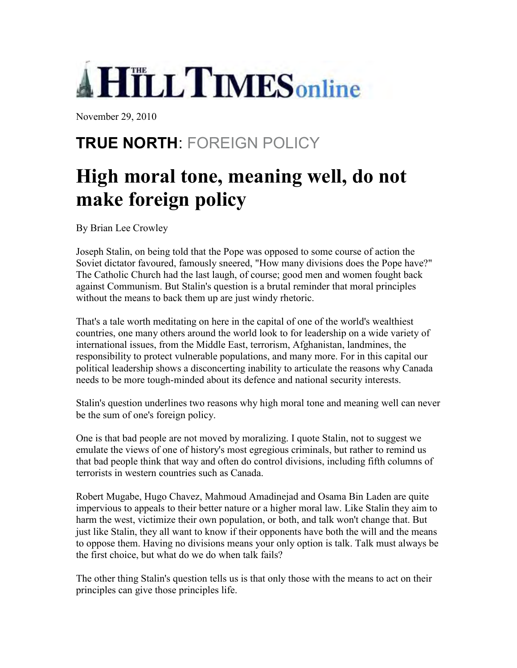

November 29, 2010

## **TRUE NORTH**: FOREIGN POLICY

## **High moral tone, meaning well, do not make foreign policy**

By Brian Lee Crowley

Joseph Stalin, on being told that the Pope was opposed to some course of action the Soviet dictator favoured, famously sneered, "How many divisions does the Pope have?" The Catholic Church had the last laugh, of course; good men and women fought back against Communism. But Stalin's question is a brutal reminder that moral principles without the means to back them up are just windy rhetoric.

That's a tale worth meditating on here in the capital of one of the world's wealthiest countries, one many others around the world look to for leadership on a wide variety of international issues, from the Middle East, terrorism, Afghanistan, landmines, the responsibility to protect vulnerable populations, and many more. For in this capital our political leadership shows a disconcerting inability to articulate the reasons why Canada needs to be more tough-minded about its defence and national security interests.

Stalin's question underlines two reasons why high moral tone and meaning well can never be the sum of one's foreign policy.

One is that bad people are not moved by moralizing. I quote Stalin, not to suggest we emulate the views of one of history's most egregious criminals, but rather to remind us that bad people think that way and often do control divisions, including fifth columns of terrorists in western countries such as Canada.

Robert Mugabe, Hugo Chavez, Mahmoud Amadinejad and Osama Bin Laden are quite impervious to appeals to their better nature or a higher moral law. Like Stalin they aim to harm the west, victimize their own population, or both, and talk won't change that. But just like Stalin, they all want to know if their opponents have both the will and the means to oppose them. Having no divisions means your only option is talk. Talk must always be the first choice, but what do we do when talk fails?

The other thing Stalin's question tells us is that only those with the means to act on their principles can give those principles life.